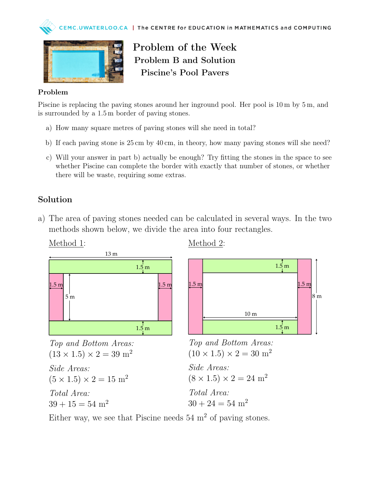



Problem of the Week Problem B and Solution Piscine's Pool Pavers

## Problem

Piscine is replacing the paving stones around her inground pool. Her pool is 10 m by 5 m, and is surrounded by a 1.5 m border of paving stones.

- a) How many square metres of paving stones will she need in total?
- b) If each paving stone is 25 cm by 40 cm, in theory, how many paving stones will she need?
- c) Will your answer in part b) actually be enough? Try fitting the stones in the space to see whether Piscine can complete the border with exactly that number of stones, or whether there will be waste, requiring some extras.

## Solution

a) The area of paving stones needed can be calculated in several ways. In the two methods shown below, we divide the area into four rectangles.





Top and Bottom Areas:  $(13 \times 1.5) \times 2 = 39$  m<sup>2</sup> Side Areas:  $(5 \times 1.5) \times 2 = 15$  m<sup>2</sup> Total Area:  $39 + 15 = 54$  m<sup>2</sup>

Method 2:



```
Top and Bottom Areas:
(10 \times 1.5) \times 2 = 30 m<sup>2</sup>
```
Side Areas:  $(8 \times 1.5) \times 2 = 24$  m<sup>2</sup> Total Area:

 $30 + 24 = 54$  m<sup>2</sup>

Either way, we see that Piscine needs  $54 \text{ m}^2$  of paving stones.